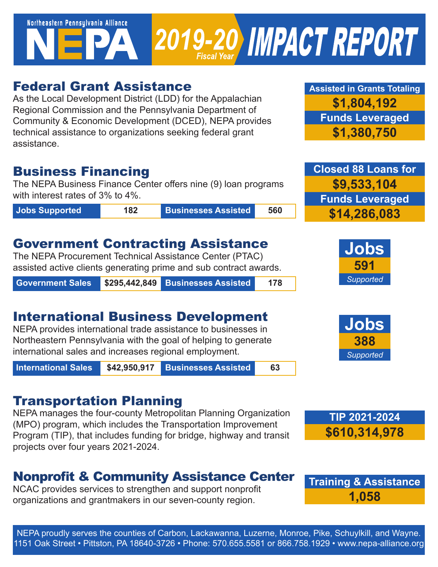Northeastern Pennsylvania Alliance 2019-20 IMPACT REPORT

### Federal Grant Assistance

As the Local Development District (LDD) for the Appalachian Regional Commission and the Pennsylvania Department of Community & Economic Development (DCED), NEPA provides technical assistance to organizations seeking federal grant assistance.

### Business Financing

The NEPA Business Finance Center offers nine (9) loan programs with interest rates of 3% to 4%.

**Jobs Supported 182 Businesses Assisted 560**

## Government Contracting Assistance

The NEPA Procurement Technical Assistance Center (PTAC) assisted active clients generating prime and sub contract awards.

**Government Sales \$295,442,849 Businesses Assisted 178**

# International Business Development

NEPA provides international trade assistance to businesses in Northeastern Pennsylvania with the goal of helping to generate international sales and increases regional employment.

**International Sales \$42,950,917 Businesses Assisted 63**

## Transportation Planning

NEPA manages the four-county Metropolitan Planning Organization (MPO) program, which includes the Transportation Improvement Program (TIP), that includes funding for bridge, highway and transit projects over four years 2021-2024.

# Nonprofit & Community Assistance Center

NCAC provides services to strengthen and support nonprofit organizations and grantmakers in our seven-county region.

**Assisted in Grants Totaling \$1,804,192 Funds Leveraged \$1,380,750**

**Closed 88 Loans for \$9,533,104 Funds Leveraged \$14,286,083**









NEPA proudly serves the counties of Carbon, Lackawanna, Luzerne, Monroe, Pike, Schuylkill, and Wayne. 1151 Oak Street • Pittston, PA 18640-3726 • Phone: 570.655.5581 or 866.758.1929 • www.nepa-alliance.org